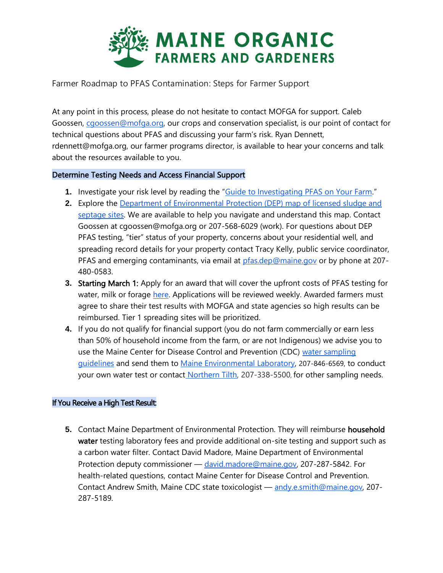

Farmer Roadmap to PFAS Contamination: Steps for Farmer Support

At any point in this process, please do not hesitate to contact MOFGA for support. Caleb Goossen, [cgoossen@mofga.org,](mailto:cgoossen@mofga.org) our crops and conservation specialist, is our point of contact for technical questions about PFAS and discussing your farm's risk. Ryan Dennett, rdennett@mofga.org, our farmer programs director, is available to hear your concerns and talk about the resources available to you.

#### Determine Testing Needs and Access Financial Support

- **1.** Investigate your risk level by reading the "[Guide to Investigating PFAS on Your Farm](https://extension.umaine.edu/agriculture/guide-to-investigating-pfas-risk-on-your-farm/)."
- **2.** Explore the [Department of Environmental Protection \(DEP\) map of licensed sludge and](https://www.arcgis.com/apps/webappviewer/index.html?id=468a9f7ddcd54309bc1ae8ba173965c7)  [septage sites.](https://www.arcgis.com/apps/webappviewer/index.html?id=468a9f7ddcd54309bc1ae8ba173965c7) We are available to help you navigate and understand this map. Contact Goossen at cgoossen@mofga.org or 207-568-6029 (work). For questions about DEP PFAS testing, "tier" status of your property, concerns about your residential well, and spreading record details for your property contact Tracy Kelly, public service coordinator, PFAS and emerging contaminants, via email at [pfas.dep@maine.gov](mailto:pfas.dep@maine.gov) or by phone at 207-480-0583.
- **3.** Starting March 1: Apply for an award that will cover the upfront costs of PFAS testing for water, milk or forage [here.](https://docs.google.com/forms/d/e/1FAIpQLSdB_t9GiFjeY5UUaX8BQql5TUA2CXH6awFa9E2POGWv7kkJbw/viewform) Applications will be reviewed weekly. Awarded farmers must agree to share their test results with MOFGA and state agencies so high results can be reimbursed. Tier 1 spreading sites will be prioritized.
- **4.** If you do not qualify for financial support (you do not farm commercially or earn less than 50% of household income from the farm, or are not Indigenous) we advise you to use the Maine Center for Disease Control and Prevention (CDC) water sampling [guidelines](https://www.maine.gov/dep/spills/topics/pfas/PFAS-homeowner-sampling.pdf) and send them to [Maine Environmental Laboratory,](https://maineenvironmentallaboratory.com/) 207-846-6569, to conduct your own water test or contact [Northern Tilth,](http://www.northerntilth.com/) [207-338-5500](http://www.northerntilth.com/+1-207-338-5500), for other sampling needs.

#### If You Receive a High Test Result:

**5.** Contact Maine Department of Environmental Protection. They will reimburse household water testing laboratory fees and provide additional on-site testing and support such as a carbon water filter. Contact David Madore, Maine Department of Environmental Protection deputy commissioner — [david.madore@maine.gov,](mailto:david.madore@maine.gov) 207-287-5842. For health-related questions, contact Maine Center for Disease Control and Prevention. Contact Andrew Smith, Maine CDC state toxicologist — [andy.e.smith@maine.gov,](mailto:andy.e.smith@maine.gov) 207- 287-5189.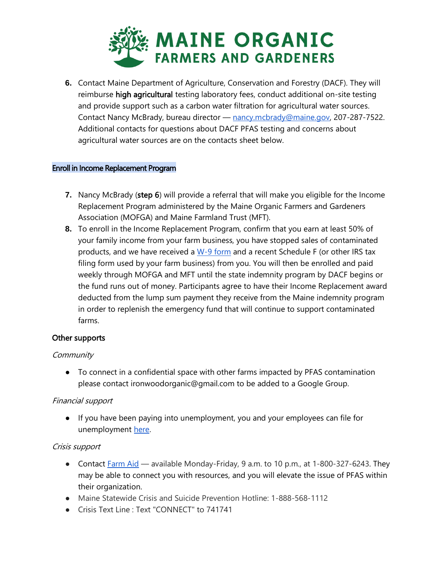

**6.** Contact Maine Department of Agriculture, Conservation and Forestry (DACF). They will reimburse high agricultural testing laboratory fees, conduct additional on-site testing and provide support such as a carbon water filtration for agricultural water sources. Contact Nancy McBrady, bureau director - [nancy.mcbrady@maine.gov,](mailto:nancy.mcbrady@maine.gov) 207-287-7522. Additional contacts for questions about DACF PFAS testing and concerns about agricultural water sources are on the contacts sheet below.

#### Enroll in Income Replacement Program

- **7.** Nancy McBrady (step 6) will provide a referral that will make you eligible for the Income Replacement Program administered by the Maine Organic Farmers and Gardeners Association (MOFGA) and Maine Farmland Trust (MFT).
- **8.** To enroll in the Income Replacement Program, confirm that you earn at least 50% of your family income from your farm business, you have stopped sales of contaminated products, and we have received a [W-9 form](https://www.irs.gov/pub/irs-pdf/fw9.pdf) and a recent Schedule F (or other IRS tax filing form used by your farm business) from you. You will then be enrolled and paid weekly through MOFGA and MFT until the state indemnity program by DACF begins or the fund runs out of money. Participants agree to have their Income Replacement award deducted from the lump sum payment they receive from the Maine indemnity program in order to replenish the emergency fund that will continue to support contaminated farms.

#### Other supports

#### **Community**

● To connect in a confidential space with other farms impacted by PFAS contamination please contact ironwoodorganic@gmail.com to be added to a Google Group.

## Financial support

● If you have been paying into unemployment, you and your employees can file for unemployment [here.](https://reemployme.maine.gov/accessme/faces/login/login.xhtml)

#### Crisis support

- Contact [Farm Aid](https://www.farmaid.org/our-work/resources-for-farmers/) available Monday-Friday, 9 a.m. to 10 p.m., at 1-800-327-6243. They may be able to connect you with resources, and you will elevate the issue of PFAS within their organization.
- Maine Statewide Crisis and Suicide Prevention Hotline: 1-888-568-1112
- Crisis Text Line : Text "CONNECT" to 741741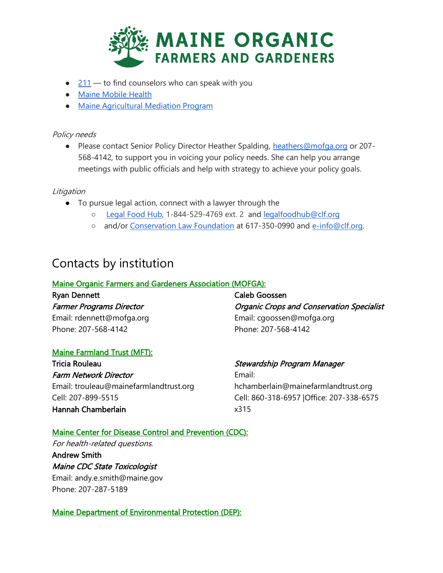

- $\bullet$  [211](http://211maine.org/) to find counselors who can speak with you
- [Maine Mobile Health](http://www.mainemobile.org/)
- [Maine Agricultural Mediation Program](https://extension.umaine.edu/agriculture/agricultural-mediation/)

#### Policy needs

● Please contact Senior Policy Director Heather Spalding, [heathers@mofga.org](mailto:heathers@mofga.org) or 207-568-4142, to support you in voicing your policy needs. She can help you arrange meetings with public officials and help with strategy to achieve your policy goals.

### **Litigation**

- To pursue legal action, connect with a lawyer through the
	- [Legal Food Hub,](https://www.legalfoodhub.org/) 1-844-529-4769 ext. 2 and [legalfoodhub@clf.org](mailto:legalfoodhub@clf.org)
	- and/or [Conservation Law Foundation](https://www.clf.org/) at 617-350-0990 and [e-info@clf.org.](mailto:e-info@clf.org)

# Contacts by institution

## Maine Organic Farmers and Gardeners Association (MOFGA):

## Ryan Dennett Farmer Programs Director Email: rdennett@mofga.org Phone: 207-568-4142

Caleb Goossen Organic Crops and Conservation Specialist Email: cgoossen@mofga.org Phone: 207-568-4142

## Maine Farmland Trust (MFT):

Tricia Rouleau Farm Network Director Email: trouleau@mainefarmlandtrust.org Cell: 207-899-5515 Hannah Chamberlain

## Stewardship Program Manager

Email: hchamberlain@mainefarmlandtrust.org Cell: 860-318-6957 |Office: 207-338-6575 x315

## Maine Center for Disease Control and Prevention (CDC):

For health-related questions.

Andrew Smith Maine CDC State Toxicologist Email: andy.e.smith@maine.gov Phone: 207-287-5189

## Maine Department of Environmental Protection (DEP):